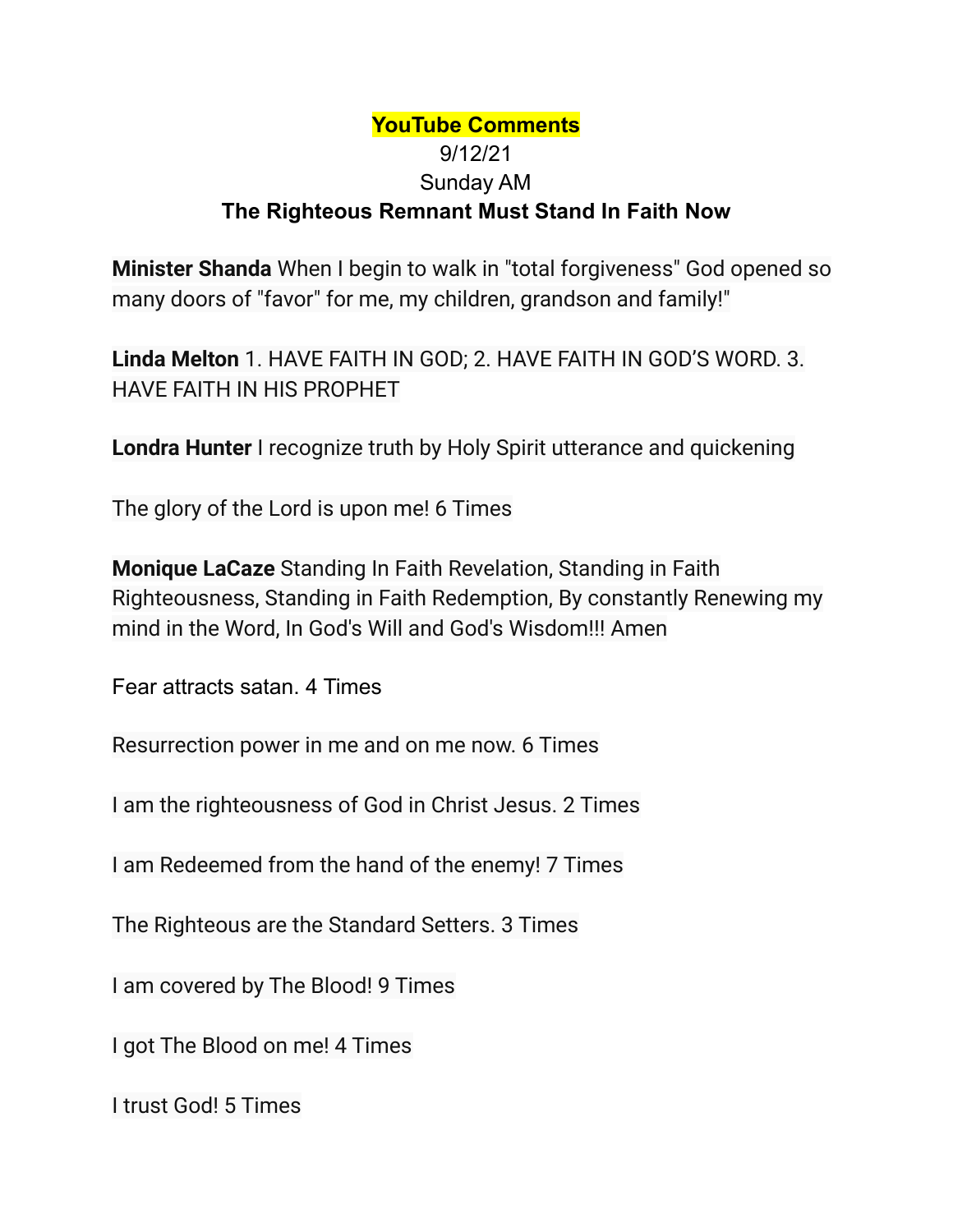## **YouTube Comments** 9/12/21 Sunday AM **The Righteous Remnant Must Stand In Faith Now**

**Minister Shanda** When I begin to walk in "total forgiveness" God opened so many doors of "favor" for me, my children, grandson and family!"

**Linda Melton** 1. HAVE FAITH IN GOD; 2. HAVE FAITH IN GOD'S WORD. 3. HAVE FAITH IN HIS PROPHET

**Londra Hunter** I recognize truth by Holy Spirit utterance and quickening

The glory of the Lord is upon me! 6 Times

**Monique LaCaze** Standing In Faith Revelation, Standing in Faith Righteousness, Standing in Faith Redemption, By constantly Renewing my mind in the Word, In God's Will and God's Wisdom!!! Amen

Fear attracts satan. 4 Times

Resurrection power in me and on me now. 6 Times

I am the righteousness of God in Christ Jesus. 2 Times

I am Redeemed from the hand of the enemy! 7 Times

The Righteous are the Standard Setters. 3 Times

I am covered by The Blood! 9 Times

I got The Blood on me! 4 Times

I trust God! 5 Times